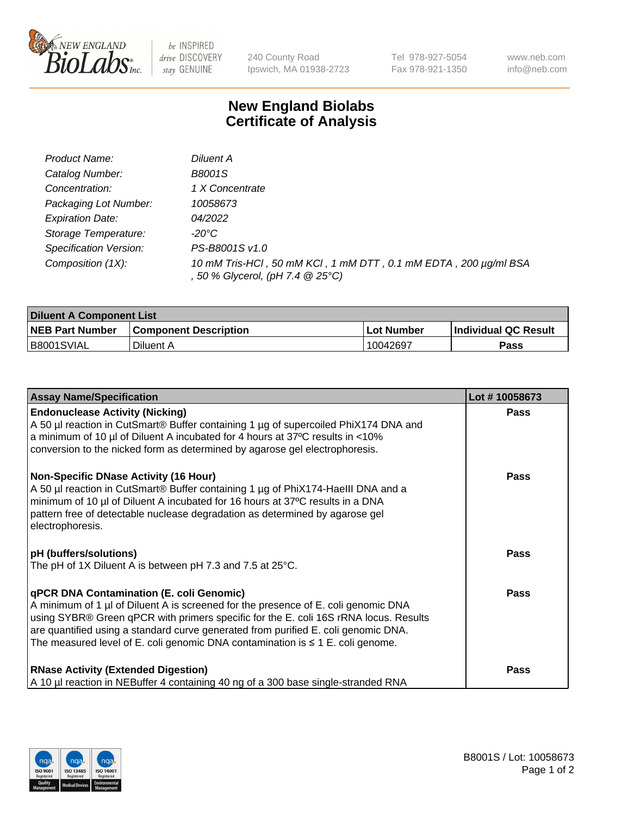

 $be$  INSPIRED drive DISCOVERY stay GENUINE

240 County Road Ipswich, MA 01938-2723 Tel 978-927-5054 Fax 978-921-1350 www.neb.com info@neb.com

## **New England Biolabs Certificate of Analysis**

| Product Name:           | Diluent A                                                                                           |
|-------------------------|-----------------------------------------------------------------------------------------------------|
| Catalog Number:         | <b>B8001S</b>                                                                                       |
| Concentration:          | 1 X Concentrate                                                                                     |
| Packaging Lot Number:   | 10058673                                                                                            |
| <b>Expiration Date:</b> | 04/2022                                                                                             |
| Storage Temperature:    | -20°C                                                                                               |
| Specification Version:  | PS-B8001S v1.0                                                                                      |
| Composition (1X):       | 10 mM Tris-HCl, 50 mM KCl, 1 mM DTT, 0.1 mM EDTA, 200 µg/ml BSA<br>, 50 % Glycerol, (pH 7.4 @ 25°C) |

| <b>Diluent A Component List</b> |                              |            |                      |  |
|---------------------------------|------------------------------|------------|----------------------|--|
| <b>NEB Part Number</b>          | <b>Component Description</b> | Lot Number | Individual QC Result |  |
| B8001SVIAL                      | Diluent A                    | 10042697   | <b>Pass</b>          |  |

| <b>Assay Name/Specification</b>                                                                                                                                                                                                                                                                                                                                                                            | Lot #10058673 |
|------------------------------------------------------------------------------------------------------------------------------------------------------------------------------------------------------------------------------------------------------------------------------------------------------------------------------------------------------------------------------------------------------------|---------------|
| <b>Endonuclease Activity (Nicking)</b><br>A 50 µl reaction in CutSmart® Buffer containing 1 µg of supercoiled PhiX174 DNA and<br>a minimum of 10 µl of Diluent A incubated for 4 hours at 37°C results in <10%<br>conversion to the nicked form as determined by agarose gel electrophoresis.                                                                                                              | <b>Pass</b>   |
| <b>Non-Specific DNase Activity (16 Hour)</b><br>A 50 µl reaction in CutSmart® Buffer containing 1 µg of PhiX174-Haelll DNA and a<br>minimum of 10 µl of Diluent A incubated for 16 hours at 37°C results in a DNA<br>pattern free of detectable nuclease degradation as determined by agarose gel<br>electrophoresis.                                                                                      | <b>Pass</b>   |
| <b>pH</b> (buffers/solutions)<br>The pH of 1X Diluent A is between pH 7.3 and 7.5 at 25°C.                                                                                                                                                                                                                                                                                                                 | <b>Pass</b>   |
| <b>qPCR DNA Contamination (E. coli Genomic)</b><br>A minimum of 1 µl of Diluent A is screened for the presence of E. coli genomic DNA<br>using SYBR® Green qPCR with primers specific for the E. coli 16S rRNA locus. Results<br>are quantified using a standard curve generated from purified E. coli genomic DNA.<br>The measured level of E. coli genomic DNA contamination is $\leq 1$ E. coli genome. | Pass          |
| <b>RNase Activity (Extended Digestion)</b><br>A 10 µl reaction in NEBuffer 4 containing 40 ng of a 300 base single-stranded RNA                                                                                                                                                                                                                                                                            | Pass          |